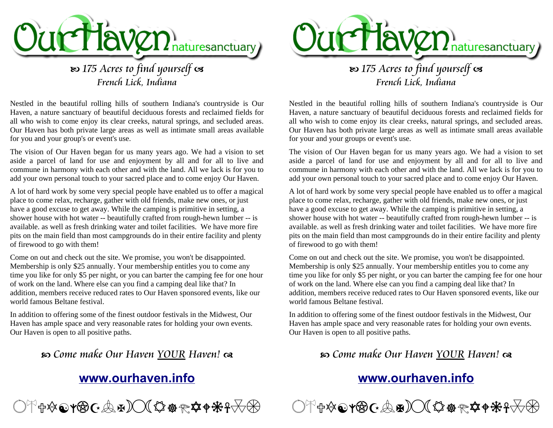

# **B** 175 Acres to find yourself as French Lick, Indiana

Nestled in the beautiful rolling hills of southern Indiana's countryside is Our Haven, a nature sanctuary of beautiful deciduous forests and reclaimed fields for all who wish to come enjoy its clear creeks, natural springs, and secluded areas. Our Haven has both private large areas as well as intimate small areas available for you and your group's or event's use.

The vision of Our Haven began for us many years ago. We had a vision to set aside a parcel of land for use and enjoyment by all and for all to live and commune in harmony with each other and with the land. All we lack is for you to add your own personal touch to your sacred place and to come enjoy Our Haven.

A lot of hard work by some very special people have enabled us to offer a magical place to come relax, recharge, gather with old friends, make new ones, or just have a good excuse to get away. While the camping is primitive in setting, a shower house with hot water -- beautifully crafted from rough-hewn lumber -- is available. as well as fresh drinking water and toilet facilities. We have more fire pits on the main field than most campgrounds do in their entire facility and plenty of firewood to go with them!

Come on out and check out the site. We promise, you won't be disappointed. Membership is only \$25 annually. Your membership entitles you to come any time you like for only \$5 per night, or you can barter the camping fee for one hour of work on the land. Where else can you find a camping deal like that? In addition, members receive reduced rates to Our Haven sponsored events, like our world famous Beltane festival.

In addition to offering some of the finest outdoor festivals in the Midwest, Our Haven has ample space and very reasonable rates for holding your own events. Our Haven is open to all positive paths.

## c Come make Our Haven YOUR Haven! d

## **[www.ourhaven.info](http://www.ourhaven.info/)**





French Lick, Indiana

Nestled in the beautiful rolling hills of southern Indiana's countryside is Our Haven, a nature sanctuary of beautiful deciduous forests and reclaimed fields for all who wish to come enjoy its clear creeks, natural springs, and secluded areas. Our Haven has both private large areas as well as intimate small areas available for your and your groups or event's use.

The vision of Our Haven began for us many years ago. We had a vision to set aside a parcel of land for use and enjoyment by all and for all to live and commune in harmony with each other and with the land. All we lack is for you to add your own personal touch to your sacred place and to come enjoy Our Haven.

A lot of hard work by some very special people have enabled us to offer a magical place to come relax, recharge, gather with old friends, make new ones, or just have a good excuse to get away. While the camping is primitive in setting, a shower house with hot water -- beautifully crafted from rough-hewn lumber -- is available. as well as fresh drinking water and toilet facilities. We have more fire pits on the main field than most campgrounds do in their entire facility and plenty of firewood to go with them!

Come on out and check out the site. We promise, you won't be disappointed. Membership is only \$25 annually. Your membership entitles you to come any time you like for only \$5 per night, or you can barter the camping fee for one hour of work on the land. Where else can you find a camping deal like that? In addition, members receive reduced rates to Our Haven sponsored events, like our world famous Beltane festival.

In addition to offering some of the finest outdoor festivals in the Midwest, Our Haven has ample space and very reasonable rates for holding your own events. Our Haven is open to all positive paths.

## c Come make Our Haven YOUR Haven! d

## **[www.ourhaven.info](http://www.ourhaven.info/)**

<sup>⊲</sup>╬X**©YBC:AH)◯(☆☆☆☆↑<del>※</del>?**▽B